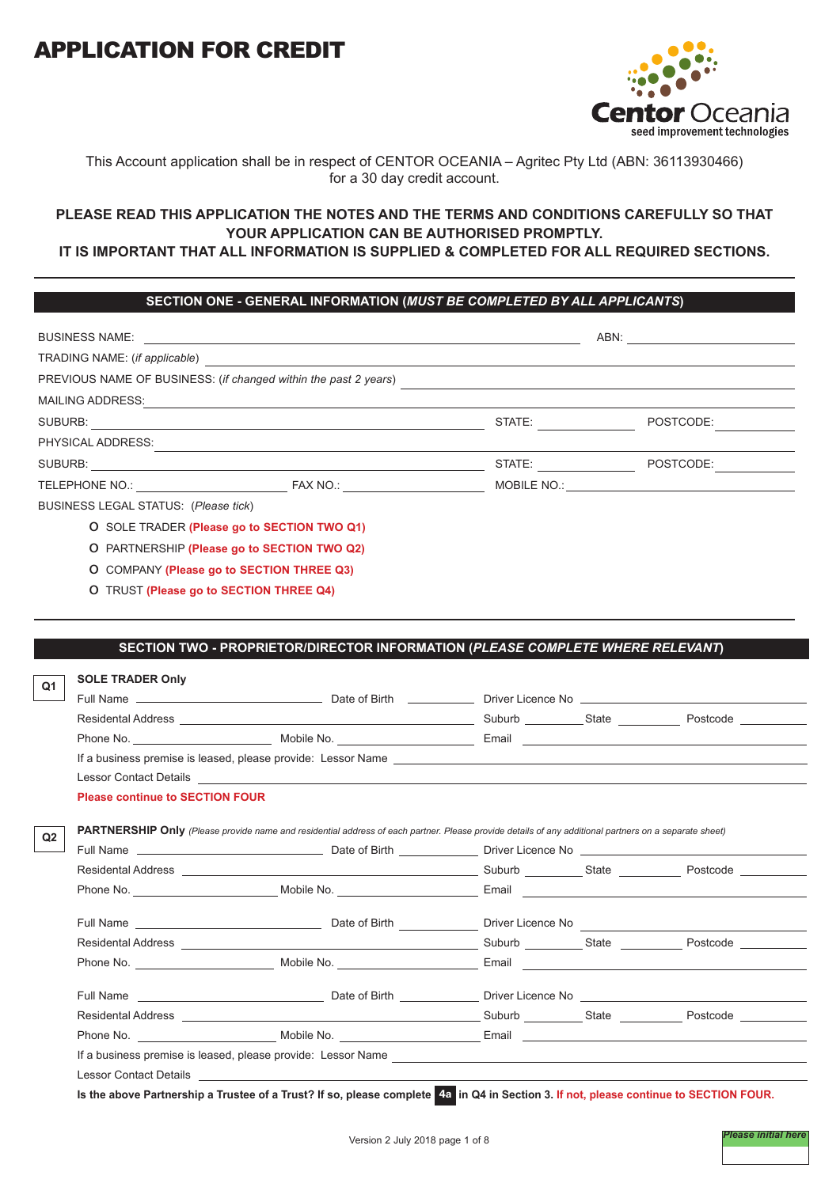

# This Account application shall be in respect of CENTOR OCEANIA – Agritec Pty Ltd (ABN: 36113930466) for a 30 day credit account.

# **PLEASE READ THIS APPLICATION THE NOTES AND THE TERMS AND CONDITIONS CAREFULLY SO THAT YOUR APPLICATION CAN BE AUTHORISED PROMPTLY.**

# **IT IS IMPORTANT THAT ALL INFORMATION IS SUPPLIED & COMPLETED FOR ALL REQUIRED SECTIONS.**

# **SECTION ONE - GENERAL INFORMATION (***MUST BE COMPLETED BY ALL APPLICANTS***)**

|                                      |                                                                                                                |                        | ABN: ADDITION                                                                                                  |
|--------------------------------------|----------------------------------------------------------------------------------------------------------------|------------------------|----------------------------------------------------------------------------------------------------------------|
|                                      |                                                                                                                |                        |                                                                                                                |
|                                      | PREVIOUS NAME OF BUSINESS: (if changed within the past 2 years)                                                |                        |                                                                                                                |
|                                      | MAILING ADDRESS: And All Annual Annual Annual Annual Annual Annual Annual Annual Annual Annual Annual Annual A |                        |                                                                                                                |
|                                      |                                                                                                                | STATE: THE STATE:      | POSTCODE:                                                                                                      |
| PHYSICAL ADDRESS:                    |                                                                                                                |                        |                                                                                                                |
|                                      |                                                                                                                | STATE: _______________ | POSTCODE:                                                                                                      |
|                                      | TELEPHONE NO.: FAX NO.: FAX NO.:                                                                               |                        | MOBILE NO.: WELL ARE A STATE OF A STATE OF A STATE OF A STATE OF A STATE OF A STATE OF A STATE OF A STATE OF A |
| BUSINESS LEGAL STATUS: (Please tick) |                                                                                                                |                        |                                                                                                                |
|                                      | O SOLE TRADER (Please go to SECTION TWO Q1)                                                                    |                        |                                                                                                                |
|                                      | O PARTNERSHIP (Please go to SECTION TWO Q2)                                                                    |                        |                                                                                                                |
|                                      | O COMPANY (Please go to SECTION THREE Q3)                                                                      |                        |                                                                                                                |

o TRUST **(Please go to SECTION THREE Q4)**

# **SECTION TWO - PROPRIETOR/DIRECTOR INFORMATION (***PLEASE COMPLETE WHERE RELEVANT***)**

| <b>SOLE TRADER Only</b>                |                                                                                                                                                                                                                                      |  |  |
|----------------------------------------|--------------------------------------------------------------------------------------------------------------------------------------------------------------------------------------------------------------------------------------|--|--|
|                                        |                                                                                                                                                                                                                                      |  |  |
|                                        |                                                                                                                                                                                                                                      |  |  |
|                                        |                                                                                                                                                                                                                                      |  |  |
|                                        |                                                                                                                                                                                                                                      |  |  |
|                                        | Lessor Contact Details <b>Exercísies Contact Details</b>                                                                                                                                                                             |  |  |
| <b>Please continue to SECTION FOUR</b> |                                                                                                                                                                                                                                      |  |  |
|                                        | PARTNERSHIP Only (Please provide name and residential address of each partner. Please provide details of any additional partners on a separate sheet)                                                                                |  |  |
|                                        | Full Name <b>contract the Contract Contract Contract Contract Contract Contract Contract Contract Contract Contract Contract Contract Contract Contract Contract Contract Contract Contract Contract Contract Contract Contract </b> |  |  |
|                                        |                                                                                                                                                                                                                                      |  |  |
|                                        |                                                                                                                                                                                                                                      |  |  |
|                                        |                                                                                                                                                                                                                                      |  |  |
|                                        |                                                                                                                                                                                                                                      |  |  |
|                                        |                                                                                                                                                                                                                                      |  |  |
|                                        |                                                                                                                                                                                                                                      |  |  |
|                                        |                                                                                                                                                                                                                                      |  |  |
|                                        |                                                                                                                                                                                                                                      |  |  |
|                                        |                                                                                                                                                                                                                                      |  |  |
|                                        |                                                                                                                                                                                                                                      |  |  |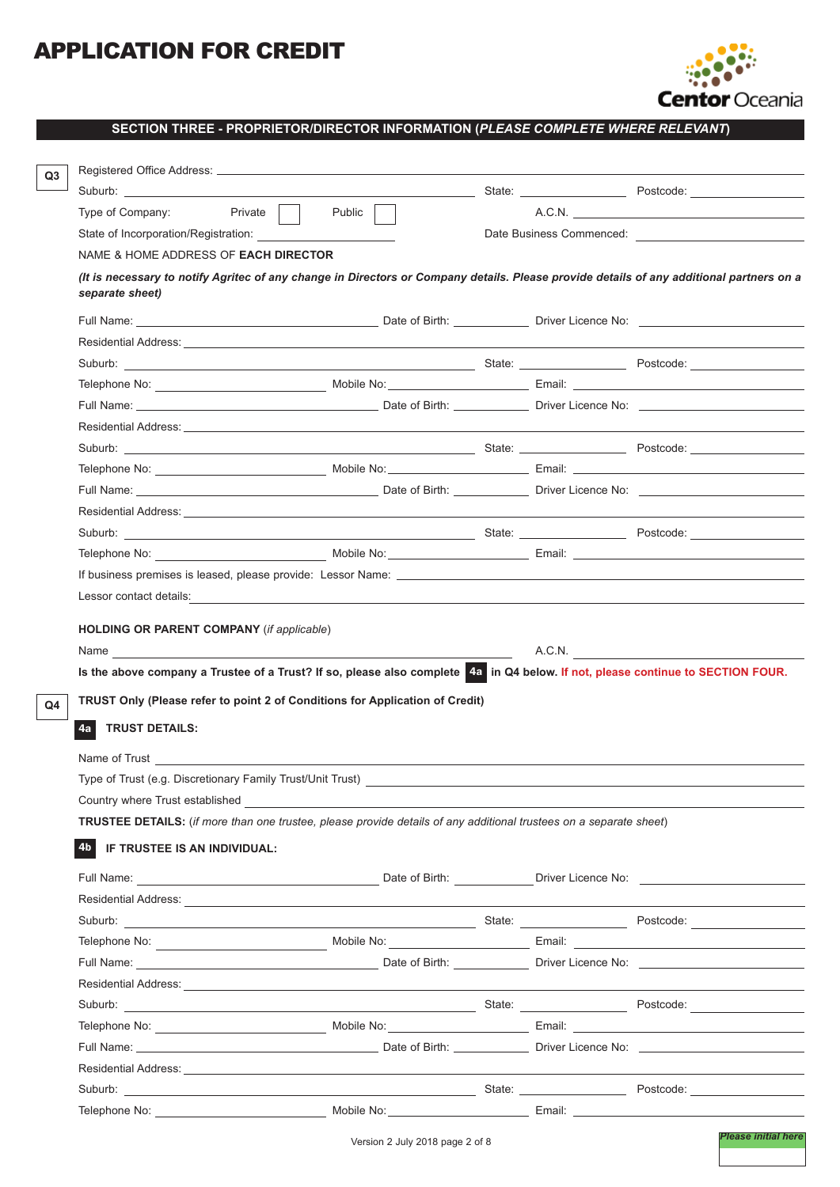

**SECTION THREE - PROPRIETOR/DIRECTOR INFORMATION (***PLEASE COMPLETE WHERE RELEVANT***)**

|                                                                                                                                                                                                                                | Suburb: with the contract of the contract of the contract of the contract of the contract of the contract of the contract of the contract of the contract of the contract of the contract of the contract of the contract of t                                                                                                                                                                                                                                        |        | State: Postcode: Postcode:                            |
|--------------------------------------------------------------------------------------------------------------------------------------------------------------------------------------------------------------------------------|-----------------------------------------------------------------------------------------------------------------------------------------------------------------------------------------------------------------------------------------------------------------------------------------------------------------------------------------------------------------------------------------------------------------------------------------------------------------------|--------|-------------------------------------------------------|
| Type of Company: Private                                                                                                                                                                                                       | Public                                                                                                                                                                                                                                                                                                                                                                                                                                                                |        | A.C.N.                                                |
| State of Incorporation/Registration:                                                                                                                                                                                           |                                                                                                                                                                                                                                                                                                                                                                                                                                                                       |        | Date Business Commenced: <u>_____________________</u> |
| NAME & HOME ADDRESS OF <b>EACH DIRECTOR</b>                                                                                                                                                                                    |                                                                                                                                                                                                                                                                                                                                                                                                                                                                       |        |                                                       |
| separate sheet)                                                                                                                                                                                                                | (It is necessary to notify Agritec of any change in Directors or Company details. Please provide details of any additional partners on a                                                                                                                                                                                                                                                                                                                              |        |                                                       |
|                                                                                                                                                                                                                                | Full Name: the contract of Birth: Contract of Birth: Contract of Birth: Contract of Birth: Contract of Birth: Contract of Birth: Contract of Birth: Contract of Birth: Contract of Diversion of Diversion of Diversion of Dive                                                                                                                                                                                                                                        |        |                                                       |
|                                                                                                                                                                                                                                |                                                                                                                                                                                                                                                                                                                                                                                                                                                                       |        |                                                       |
|                                                                                                                                                                                                                                |                                                                                                                                                                                                                                                                                                                                                                                                                                                                       |        |                                                       |
|                                                                                                                                                                                                                                |                                                                                                                                                                                                                                                                                                                                                                                                                                                                       |        |                                                       |
|                                                                                                                                                                                                                                |                                                                                                                                                                                                                                                                                                                                                                                                                                                                       |        |                                                       |
|                                                                                                                                                                                                                                |                                                                                                                                                                                                                                                                                                                                                                                                                                                                       |        |                                                       |
|                                                                                                                                                                                                                                |                                                                                                                                                                                                                                                                                                                                                                                                                                                                       |        |                                                       |
|                                                                                                                                                                                                                                |                                                                                                                                                                                                                                                                                                                                                                                                                                                                       |        |                                                       |
|                                                                                                                                                                                                                                |                                                                                                                                                                                                                                                                                                                                                                                                                                                                       |        |                                                       |
|                                                                                                                                                                                                                                |                                                                                                                                                                                                                                                                                                                                                                                                                                                                       |        |                                                       |
|                                                                                                                                                                                                                                |                                                                                                                                                                                                                                                                                                                                                                                                                                                                       |        |                                                       |
|                                                                                                                                                                                                                                |                                                                                                                                                                                                                                                                                                                                                                                                                                                                       |        |                                                       |
|                                                                                                                                                                                                                                | If business premises is leased, please provide: Lessor Name: Letter and the contract of the contract of the contract of the contract of the contract of the contract of the contract of the contract of the contract of the co                                                                                                                                                                                                                                        |        |                                                       |
|                                                                                                                                                                                                                                | Lessor contact details:<br>experience and the contract details:                                                                                                                                                                                                                                                                                                                                                                                                       |        |                                                       |
| <b>HOLDING OR PARENT COMPANY</b> (if applicable)                                                                                                                                                                               | Is the above company a Trustee of a Trust? If so, please also complete 4a in Q4 below. If not, please continue to SECTION FOUR.                                                                                                                                                                                                                                                                                                                                       | A.C.N. |                                                       |
|                                                                                                                                                                                                                                | TRUST Only (Please refer to point 2 of Conditions for Application of Credit)                                                                                                                                                                                                                                                                                                                                                                                          |        |                                                       |
| <b>TRUST DETAILS:</b><br>4a                                                                                                                                                                                                    |                                                                                                                                                                                                                                                                                                                                                                                                                                                                       |        |                                                       |
| Name of Trust and Trust and Trust and Trust and Trust and Trust and Trust and Trust and Trust and Trust and Trust and Trust and Trust and Trust and Trust and Trust and Trust and Trust and Trust and Trust and Trust and Trus |                                                                                                                                                                                                                                                                                                                                                                                                                                                                       |        |                                                       |
| Type of Trust (e.g. Discretionary Family Trust/Unit Trust)                                                                                                                                                                     |                                                                                                                                                                                                                                                                                                                                                                                                                                                                       |        |                                                       |
| Country where Trust established                                                                                                                                                                                                |                                                                                                                                                                                                                                                                                                                                                                                                                                                                       |        |                                                       |
|                                                                                                                                                                                                                                | TRUSTEE DETAILS: (if more than one trustee, please provide details of any additional trustees on a separate sheet)                                                                                                                                                                                                                                                                                                                                                    |        |                                                       |
| 4b IF TRUSTEE IS AN INDIVIDUAL:                                                                                                                                                                                                |                                                                                                                                                                                                                                                                                                                                                                                                                                                                       |        |                                                       |
|                                                                                                                                                                                                                                |                                                                                                                                                                                                                                                                                                                                                                                                                                                                       |        |                                                       |
|                                                                                                                                                                                                                                |                                                                                                                                                                                                                                                                                                                                                                                                                                                                       |        |                                                       |
|                                                                                                                                                                                                                                | Residential Address: <u>Communications</u> of the contract of the contract of the contract of the contract of the contract of the contract of the contract of the contract of the contract of the contract of the contract of the c<br>Suburb: Postcode: Protocode: Postcode: Postcode: Postcode: Postcode: Postcode: Postcode: Postcode: Postcode: Postcode: Postcode: Postcode: Postcode: Postcode: Postcode: Postcode: Postcode: Postcode: Postcode: Postcode: Pos |        |                                                       |
|                                                                                                                                                                                                                                | Telephone No: Noble No: Nobile No: Nobile No: Nobile No: Nobile No: Nobile No: Nobile No: Nobile No: Nobile No                                                                                                                                                                                                                                                                                                                                                        |        |                                                       |
|                                                                                                                                                                                                                                |                                                                                                                                                                                                                                                                                                                                                                                                                                                                       |        |                                                       |
|                                                                                                                                                                                                                                |                                                                                                                                                                                                                                                                                                                                                                                                                                                                       |        |                                                       |
|                                                                                                                                                                                                                                |                                                                                                                                                                                                                                                                                                                                                                                                                                                                       |        |                                                       |
|                                                                                                                                                                                                                                |                                                                                                                                                                                                                                                                                                                                                                                                                                                                       |        |                                                       |
|                                                                                                                                                                                                                                |                                                                                                                                                                                                                                                                                                                                                                                                                                                                       |        |                                                       |
|                                                                                                                                                                                                                                |                                                                                                                                                                                                                                                                                                                                                                                                                                                                       |        |                                                       |
|                                                                                                                                                                                                                                |                                                                                                                                                                                                                                                                                                                                                                                                                                                                       |        |                                                       |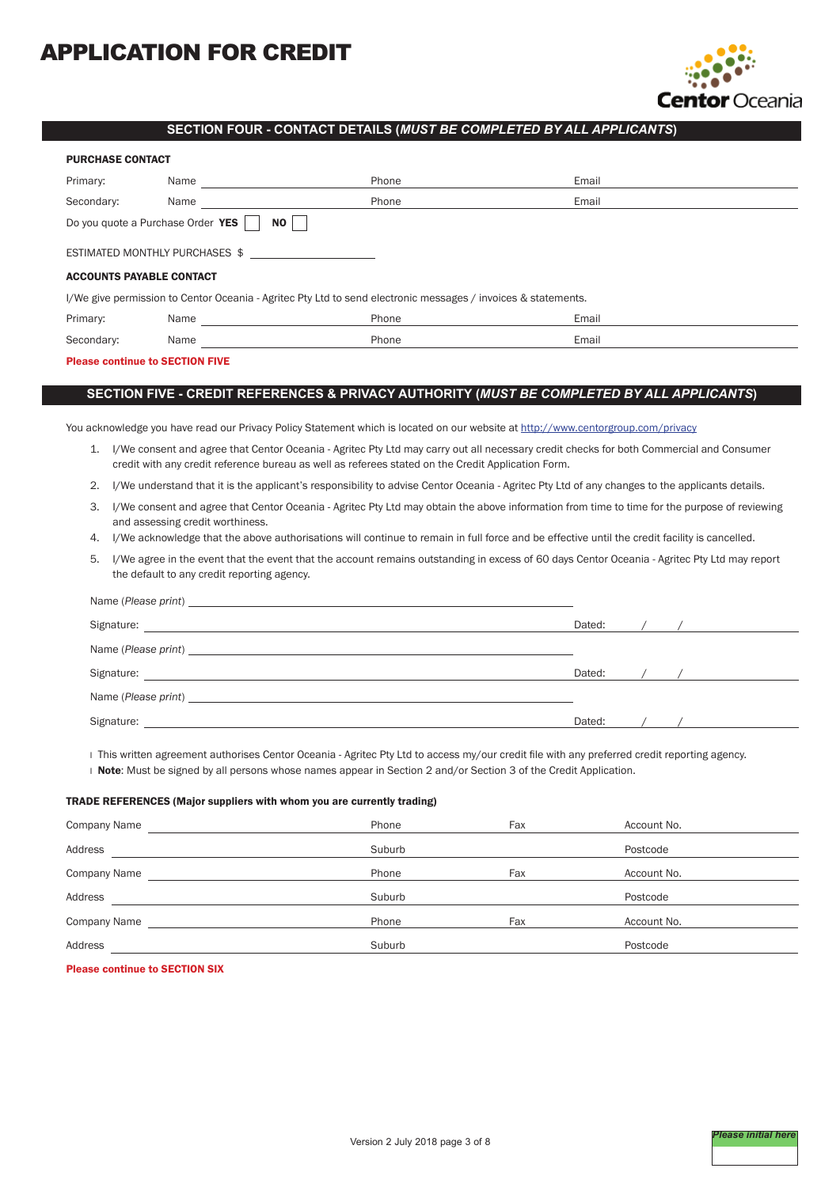

# **SECTION FOUR - CONTACT DETAILS (***MUST BE COMPLETED BY ALL APPLICANTS***)**

| <b>PURCHASE CONTACT</b>                                                                                       |      |       |       |  |  |
|---------------------------------------------------------------------------------------------------------------|------|-------|-------|--|--|
| Primary:                                                                                                      | Name | Phone | Email |  |  |
| Secondary:                                                                                                    | Name | Phone | Email |  |  |
| Do you quote a Purchase Order YES                                                                             | ΝO   |       |       |  |  |
| ESTIMATED MONTHLY PURCHASES \$                                                                                |      |       |       |  |  |
| <b>ACCOUNTS PAYABLE CONTACT</b>                                                                               |      |       |       |  |  |
| I/We give permission to Centor Oceania - Agritec Pty Ltd to send electronic messages / invoices & statements. |      |       |       |  |  |
| Primary:                                                                                                      | Name | Phone | Email |  |  |
| Secondary:                                                                                                    | Name | Phone | Email |  |  |

## Please continue to SECTION FIVE

# **SECTION FIVE - CREDIT REFERENCES & PRIVACY AUTHORITY (***MUST BE COMPLETED BY ALL APPLICANTS***)**

You acknowledge you have read our Privacy Policy Statement which is located on our website at http://www.centorgroup.com/privacy

- 1. I/We consent and agree that Centor Oceania Agritec Pty Ltd may carry out all necessary credit checks for both Commercial and Consumer credit with any credit reference bureau as well as referees stated on the Credit Application Form.
- 2. I/We understand that it is the applicant's responsibility to advise Centor Oceania Agritec Pty Ltd of any changes to the applicants details.
- 3. I/We consent and agree that Centor Oceania Agritec Pty Ltd may obtain the above information from time to time for the purpose of reviewing and assessing credit worthiness.
- 4. I/We acknowledge that the above authorisations will continue to remain in full force and be effective until the credit facility is cancelled.
- 5. I/We agree in the event that the event that the account remains outstanding in excess of 60 days Centor Oceania Agritec Pty Ltd may report the default to any credit reporting agency.

| Name (Please print) and the state of the state of the state of the state of the state of the state of the state of the state of the state of the state of the state of the state of the state of the state of the state of the                     |        |  |
|----------------------------------------------------------------------------------------------------------------------------------------------------------------------------------------------------------------------------------------------------|--------|--|
| Signature:<br><u> 1989 - Andrea State Barbara, amerikan personal dan personal dan personal dan personal dan personal dan personal dan personal dan personal dan personal dan personal dan personal dan personal dan personal dan personal dan </u> | Dated: |  |
|                                                                                                                                                                                                                                                    |        |  |
| Signature:<br><u> 1989 - Andrea Andrew Maria (h. 1989).</u>                                                                                                                                                                                        | Dated: |  |
| Name (Please print) and the state of the state of the state of the state of the state of the state of the state of the state of the state of the state of the state of the state of the state of the state of the state of the                     |        |  |
| Signature:                                                                                                                                                                                                                                         | Dated: |  |

I This written agreement authorises Centor Oceania - Agritec Pty Ltd to access my/our credit file with any preferred credit reporting agency.

I Note: Must be signed by all persons whose names appear in Section 2 and/or Section 3 of the Credit Application.

#### TRADE REFERENCES (Major suppliers with whom you are currently trading)

| Company Name | Phone  | Fax | Account No. |
|--------------|--------|-----|-------------|
| Address      | Suburb |     | Postcode    |
| Company Name | Phone  | Fax | Account No. |
| Address      | Suburb |     | Postcode    |
| Company Name | Phone  | Fax | Account No. |
| Address      | Suburb |     | Postcode    |

## Please continue to SECTION SIX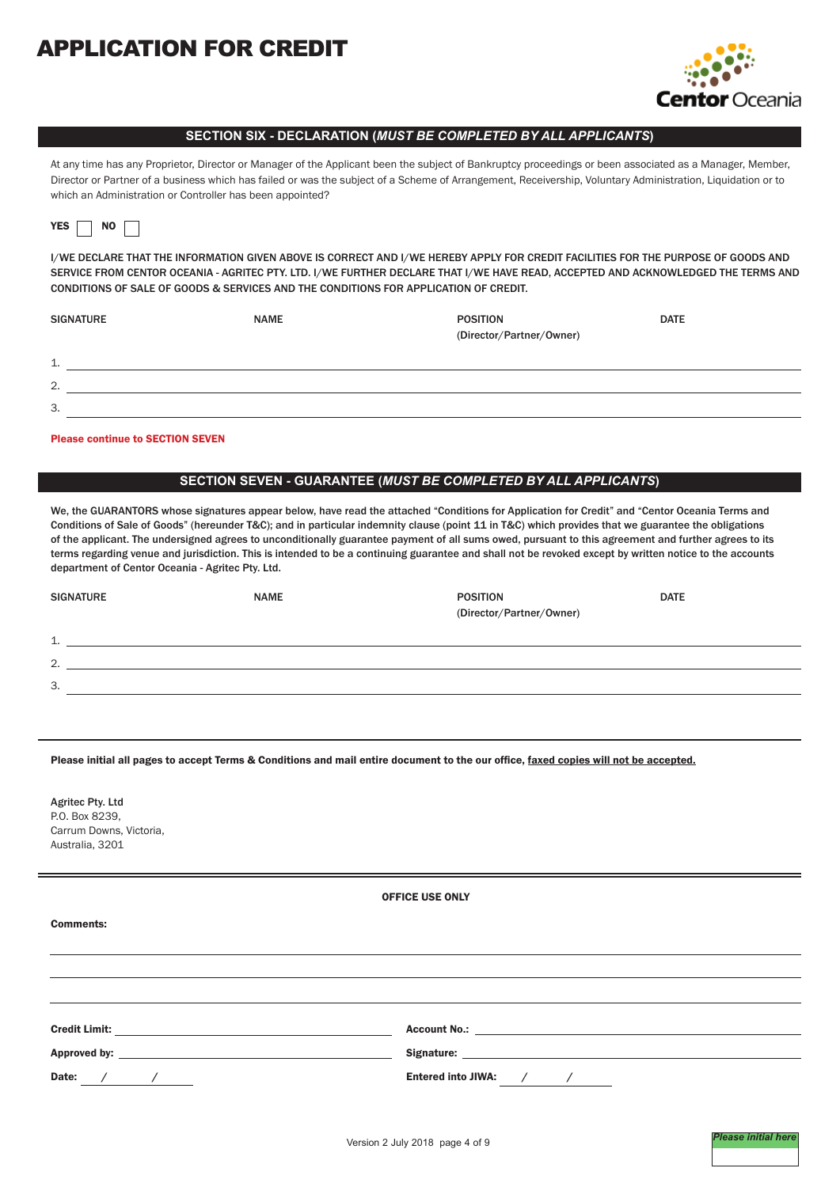

# **SECTION SIX - DECLARATION (***MUST BE COMPLETED BY ALL APPLICANTS***)**

At any time has any Proprietor, Director or Manager of the Applicant been the subject of Bankruptcy proceedings or been associated as a Manager, Member, Director or Partner of a business which has failed or was the subject of a Scheme of Arrangement, Receivership, Voluntary Administration, Liquidation or to which an Administration or Controller has been appointed?

|--|

I/WE DECLARE THAT THE INFORMATION GIVEN ABOVE IS CORRECT AND I/WE HEREBY APPLY FOR CREDIT FACILITIES FOR THE PURPOSE OF GOODS AND SERVICE FROM CENTOR OCEANIA - AGRITEC PTY. LTD. I/WE FURTHER DECLARE THAT I/WE HAVE READ, ACCEPTED AND ACKNOWLEDGED THE TERMS AND CONDITIONS OF SALE OF GOODS & SERVICES AND THE CONDITIONS FOR APPLICATION OF CREDIT.

| <b>SIGNATURE</b>           | <b>NAME</b> | <b>POSITION</b><br>(Director/Partner/Owner) | <b>DATE</b> |
|----------------------------|-------------|---------------------------------------------|-------------|
| $\overline{ }$<br><b>.</b> |             |                                             |             |
| 2.                         |             |                                             |             |
| 3.                         |             |                                             |             |

#### Please continue to SECTION SEVEN

# **SECTION SEVEN - GUARANTEE (***MUST BE COMPLETED BY ALL APPLICANTS***)**

We, the GUARANTORS whose signatures appear below, have read the attached "Conditions for Application for Credit" and "Centor Oceania Terms and Conditions of Sale of Goods" (hereunder T&C); and in particular indemnity clause (point 11 in T&C) which provides that we guarantee the obligations of the applicant. The undersigned agrees to unconditionally guarantee payment of all sums owed, pursuant to this agreement and further agrees to its terms regarding venue and jurisdiction. This is intended to be a continuing guarantee and shall not be revoked except by written notice to the accounts department of Centor Oceania - Agritec Pty. Ltd.

| <b>SIGNATURE</b>                     | <b>NAME</b> | <b>POSITION</b><br>(Director/Partner/Owner) | <b>DATE</b> |
|--------------------------------------|-------------|---------------------------------------------|-------------|
| $\overline{\mathcal{A}}$<br><b>.</b> |             |                                             |             |
| $\mathcal{L}$<br><u>.</u>            |             |                                             |             |
| 3.                                   |             |                                             |             |
|                                      |             |                                             |             |

Please initial all pages to accept Terms & Conditions and mail entire document to the our office, faxed copies will not be accepted.

Agritec Pty. Ltd P.O. Box 8239, Carrum Downs, Victoria, Australia, 3201

| <b>OFFICE USE ONLY</b> |  |
|------------------------|--|
|                        |  |

| <b>Comments:</b>                                                      |                                                                                                                                                                                                                                |
|-----------------------------------------------------------------------|--------------------------------------------------------------------------------------------------------------------------------------------------------------------------------------------------------------------------------|
|                                                                       |                                                                                                                                                                                                                                |
|                                                                       |                                                                                                                                                                                                                                |
|                                                                       |                                                                                                                                                                                                                                |
| <b>Credit Limit:</b><br><u> 1989 - Andrea Andrew Maria (h. 1989).</u> | Account No.: 2008. 2008. 2010. 2010. 2012. 2013. 2014. 2015. 2016. 2017. 2018. 2019. 2016. 2017. 2018. 2019. 2019. 2019. 2019. 2019. 2019. 2019. 2019. 2019. 2019. 2019. 2019. 2019. 2019. 2019. 2019. 2019. 2019. 2019. 2019. |
|                                                                       | Signature: the contract of the contract of the contract of the contract of the contract of the contract of the contract of the contract of the contract of the contract of the contract of the contract of the contract of the |
| Date:                                                                 | Entered into JIWA: /                                                                                                                                                                                                           |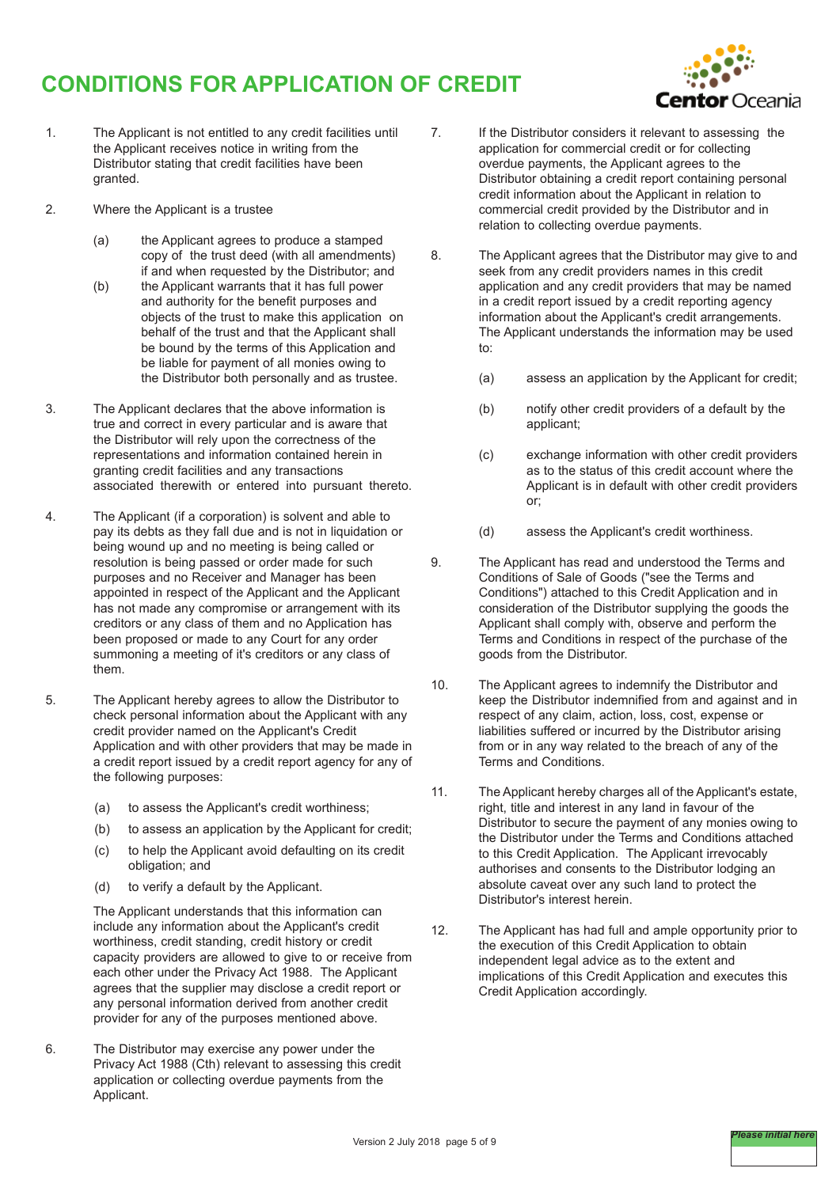# **CONDITIONS FOR APPLICATION OF CREDIT**



- 1. The Applicant is not entitled to any credit facilities until the Applicant receives notice in writing from the Distributor stating that credit facilities have been granted.
- 2. Where the Applicant is a trustee
	- (a) the Applicant agrees to produce a stamped copy of the trust deed (with all amendments) if and when requested by the Distributor; and
	- (b) the Applicant warrants that it has full power and authority for the benefit purposes and objects of the trust to make this application on behalf of the trust and that the Applicant shall be bound by the terms of this Application and be liable for payment of all monies owing to the Distributor both personally and as trustee.
- 3. The Applicant declares that the above information is true and correct in every particular and is aware that the Distributor will rely upon the correctness of the representations and information contained herein in granting credit facilities and any transactions associated therewith or entered into pursuant thereto.
- 4. The Applicant (if a corporation) is solvent and able to pay its debts as they fall due and is not in liquidation or being wound up and no meeting is being called or resolution is being passed or order made for such purposes and no Receiver and Manager has been appointed in respect of the Applicant and the Applicant has not made any compromise or arrangement with its creditors or any class of them and no Application has been proposed or made to any Court for any order summoning a meeting of it's creditors or any class of them.
- 5. The Applicant hereby agrees to allow the Distributor to check personal information about the Applicant with any credit provider named on the Applicant's Credit Application and with other providers that may be made in a credit report issued by a credit report agency for any of the following purposes:
	- (a) to assess the Applicant's credit worthiness:
	- (b) to assess an application by the Applicant for credit;
	- (c) to help the Applicant avoid defaulting on its credit obligation; and
	- (d) to verify a default by the Applicant.

The Applicant understands that this information can include any information about the Applicant's credit worthiness, credit standing, credit history or credit capacity providers are allowed to give to or receive from each other under the Privacy Act 1988. The Applicant agrees that the supplier may disclose a credit report or any personal information derived from another credit provider for any of the purposes mentioned above.

6. The Distributor may exercise any power under the Privacy Act 1988 (Cth) relevant to assessing this credit application or collecting overdue payments from the Applicant.

- 7. If the Distributor considers it relevant to assessing the application for commercial credit or for collecting overdue payments, the Applicant agrees to the Distributor obtaining a credit report containing personal credit information about the Applicant in relation to commercial credit provided by the Distributor and in relation to collecting overdue payments.
- 8. The Applicant agrees that the Distributor may give to and seek from any credit providers names in this credit application and any credit providers that may be named in a credit report issued by a credit reporting agency information about the Applicant's credit arrangements. The Applicant understands the information may be used to:
	- (a) assess an application by the Applicant for credit;
	- (b) notify other credit providers of a default by the applicant;
	- (c) exchange information with other credit providers as to the status of this credit account where the Applicant is in default with other credit providers or;
	- (d) assess the Applicant's credit worthiness.
- 9. The Applicant has read and understood the Terms and Conditions of Sale of Goods ("see the Terms and Conditions") attached to this Credit Application and in consideration of the Distributor supplying the goods the Applicant shall comply with, observe and perform the Terms and Conditions in respect of the purchase of the goods from the Distributor.
- 10. The Applicant agrees to indemnify the Distributor and keep the Distributor indemnified from and against and in respect of any claim, action, loss, cost, expense or liabilities suffered or incurred by the Distributor arising from or in any way related to the breach of any of the Terms and Conditions.
- 11. The Applicant hereby charges all of the Applicant's estate, right, title and interest in any land in favour of the Distributor to secure the payment of any monies owing to the Distributor under the Terms and Conditions attached to this Credit Application. The Applicant irrevocably authorises and consents to the Distributor lodging an absolute caveat over any such land to protect the Distributor's interest herein.
- 12. The Applicant has had full and ample opportunity prior to the execution of this Credit Application to obtain independent legal advice as to the extent and implications of this Credit Application and executes this Credit Application accordingly.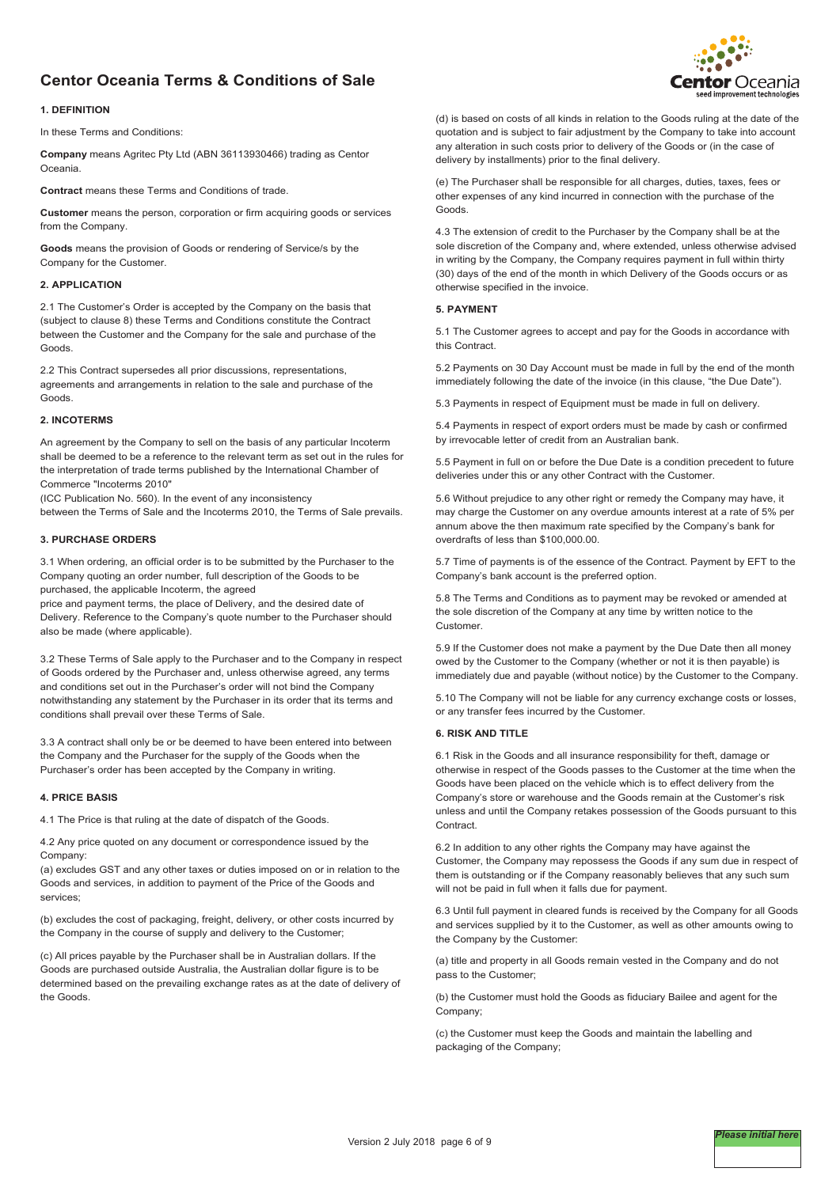# **Centor Oceania Terms & Conditions of Sale**



#### **1. DEFINITION**

In these Terms and Conditions:

**Company** means Agritec Pty Ltd (ABN 36113930466) trading as Centor Oceania.

**Contract** means these Terms and Conditions of trade.

**Customer** means the person, corporation or firm acquiring goods or services from the Company.

**Goods** means the provision of Goods or rendering of Service/s by the Company for the Customer.

# **2. APPLICATION**

2.1 The Customer's Order is accepted by the Company on the basis that (subject to clause 8) these Terms and Conditions constitute the Contract between the Customer and the Company for the sale and purchase of the Goods.

2.2 This Contract supersedes all prior discussions, representations, agreements and arrangements in relation to the sale and purchase of the Goods.

#### **2. INCOTERMS**

An agreement by the Company to sell on the basis of any particular Incoterm shall be deemed to be a reference to the relevant term as set out in the rules for the interpretation of trade terms published by the International Chamber of Commerce "Incoterms 2010"

(ICC Publication No. 560). In the event of any inconsistency between the Terms of Sale and the Incoterms 2010, the Terms of Sale prevails.

#### **3. PURCHASE ORDERS**

3.1 When ordering, an official order is to be submitted by the Purchaser to the Company quoting an order number, full description of the Goods to be purchased, the applicable Incoterm, the agreed

price and payment terms, the place of Delivery, and the desired date of Delivery. Reference to the Company's quote number to the Purchaser should also be made (where applicable).

3.2 These Terms of Sale apply to the Purchaser and to the Company in respect of Goods ordered by the Purchaser and, unless otherwise agreed, any terms and conditions set out in the Purchaser's order will not bind the Company notwithstanding any statement by the Purchaser in its order that its terms and conditions shall prevail over these Terms of Sale.

3.3 A contract shall only be or be deemed to have been entered into between the Company and the Purchaser for the supply of the Goods when the Purchaser's order has been accepted by the Company in writing.

#### **4. PRICE BASIS**

4.1 The Price is that ruling at the date of dispatch of the Goods.

4.2 Any price quoted on any document or correspondence issued by the Company:

(a) excludes GST and any other taxes or duties imposed on or in relation to the Goods and services, in addition to payment of the Price of the Goods and services;

(b) excludes the cost of packaging, freight, delivery, or other costs incurred by the Company in the course of supply and delivery to the Customer;

(c) All prices payable by the Purchaser shall be in Australian dollars. If the Goods are purchased outside Australia, the Australian dollar figure is to be determined based on the prevailing exchange rates as at the date of delivery of the Goods.

(d) is based on costs of all kinds in relation to the Goods ruling at the date of the quotation and is subject to fair adjustment by the Company to take into account any alteration in such costs prior to delivery of the Goods or (in the case of delivery by installments) prior to the final delivery.

(e) The Purchaser shall be responsible for all charges, duties, taxes, fees or other expenses of any kind incurred in connection with the purchase of the Goods.

4.3 The extension of credit to the Purchaser by the Company shall be at the sole discretion of the Company and, where extended, unless otherwise advised in writing by the Company, the Company requires payment in full within thirty (30) days of the end of the month in which Delivery of the Goods occurs or as otherwise specified in the invoice.

#### **5. PAYMENT**

5.1 The Customer agrees to accept and pay for the Goods in accordance with this Contract.

5.2 Payments on 30 Day Account must be made in full by the end of the month immediately following the date of the invoice (in this clause, "the Due Date").

5.3 Payments in respect of Equipment must be made in full on delivery.

5.4 Payments in respect of export orders must be made by cash or confirmed by irrevocable letter of credit from an Australian bank.

5.5 Payment in full on or before the Due Date is a condition precedent to future deliveries under this or any other Contract with the Customer.

5.6 Without prejudice to any other right or remedy the Company may have, it may charge the Customer on any overdue amounts interest at a rate of 5% per annum above the then maximum rate specified by the Company's bank for overdrafts of less than \$100,000.00.

5.7 Time of payments is of the essence of the Contract. Payment by EFT to the Company's bank account is the preferred option.

5.8 The Terms and Conditions as to payment may be revoked or amended at the sole discretion of the Company at any time by written notice to the Customer.

5.9 If the Customer does not make a payment by the Due Date then all money owed by the Customer to the Company (whether or not it is then payable) is immediately due and payable (without notice) by the Customer to the Company.

5.10 The Company will not be liable for any currency exchange costs or losses, or any transfer fees incurred by the Customer.

#### **6. RISK AND TITLE**

6.1 Risk in the Goods and all insurance responsibility for theft, damage or otherwise in respect of the Goods passes to the Customer at the time when the Goods have been placed on the vehicle which is to effect delivery from the Company's store or warehouse and the Goods remain at the Customer's risk unless and until the Company retakes possession of the Goods pursuant to this **Contract.** 

6.2 In addition to any other rights the Company may have against the Customer, the Company may repossess the Goods if any sum due in respect of them is outstanding or if the Company reasonably believes that any such sum will not be paid in full when it falls due for payment.

6.3 Until full payment in cleared funds is received by the Company for all Goods and services supplied by it to the Customer, as well as other amounts owing to the Company by the Customer:

(a) title and property in all Goods remain vested in the Company and do not pass to the Customer;

(b) the Customer must hold the Goods as fiduciary Bailee and agent for the Company;

(c) the Customer must keep the Goods and maintain the labelling and packaging of the Company;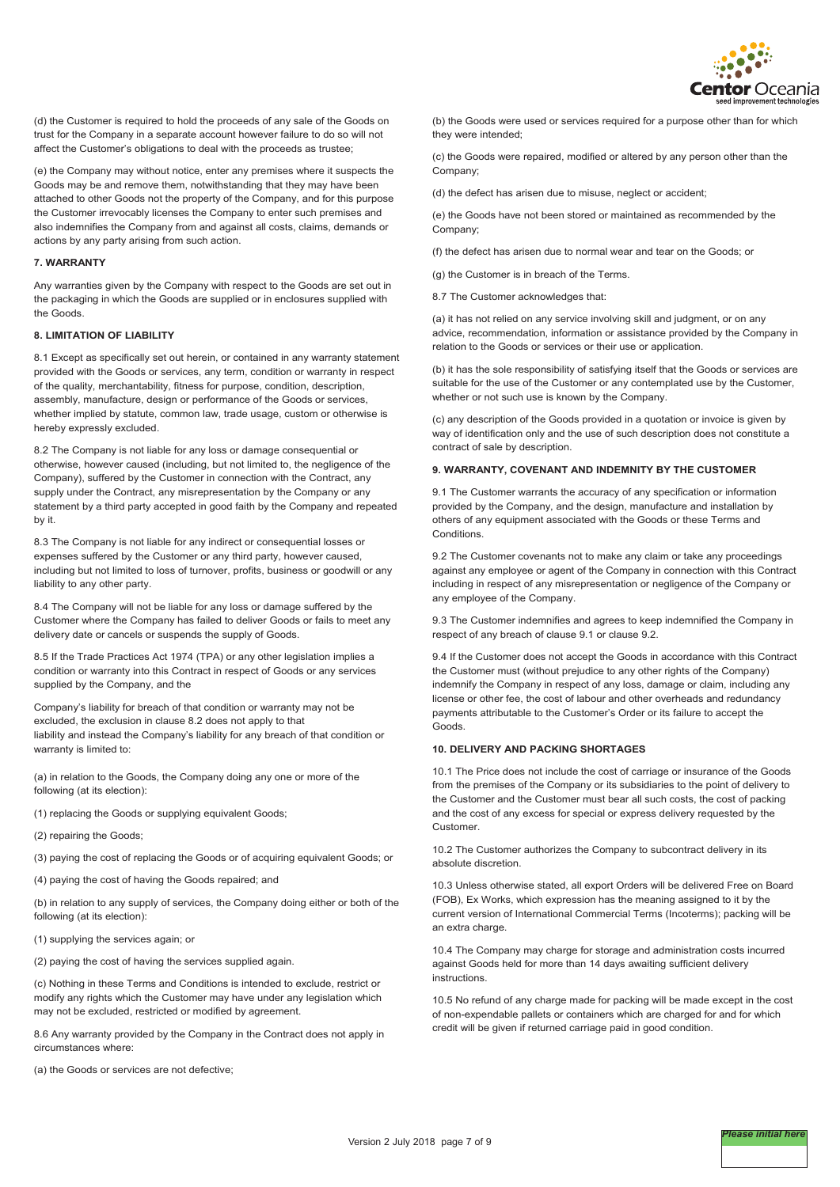

(d) the Customer is required to hold the proceeds of any sale of the Goods on trust for the Company in a separate account however failure to do so will not affect the Customer's obligations to deal with the proceeds as trustee;

(e) the Company may without notice, enter any premises where it suspects the Goods may be and remove them, notwithstanding that they may have been attached to other Goods not the property of the Company, and for this purpose the Customer irrevocably licenses the Company to enter such premises and also indemnifies the Company from and against all costs, claims, demands or actions by any party arising from such action.

### **7. WARRANTY**

Any warranties given by the Company with respect to the Goods are set out in the packaging in which the Goods are supplied or in enclosures supplied with the Goods.

#### **8. LIMITATION OF LIABILITY**

8.1 Except as specifically set out herein, or contained in any warranty statement provided with the Goods or services, any term, condition or warranty in respect of the quality, merchantability, fitness for purpose, condition, description, assembly, manufacture, design or performance of the Goods or services, whether implied by statute, common law, trade usage, custom or otherwise is hereby expressly excluded.

8.2 The Company is not liable for any loss or damage consequential or otherwise, however caused (including, but not limited to, the negligence of the Company), suffered by the Customer in connection with the Contract, any supply under the Contract, any misrepresentation by the Company or any statement by a third party accepted in good faith by the Company and repeated by it.

8.3 The Company is not liable for any indirect or consequential losses or expenses suffered by the Customer or any third party, however caused, including but not limited to loss of turnover, profits, business or goodwill or any liability to any other party.

8.4 The Company will not be liable for any loss or damage suffered by the Customer where the Company has failed to deliver Goods or fails to meet any delivery date or cancels or suspends the supply of Goods.

8.5 If the Trade Practices Act 1974 (TPA) or any other legislation implies a condition or warranty into this Contract in respect of Goods or any services supplied by the Company, and the

Company's liability for breach of that condition or warranty may not be excluded, the exclusion in clause 8.2 does not apply to that liability and instead the Company's liability for any breach of that condition or warranty is limited to:

(a) in relation to the Goods, the Company doing any one or more of the following (at its election):

(1) replacing the Goods or supplying equivalent Goods;

(2) repairing the Goods;

(3) paying the cost of replacing the Goods or of acquiring equivalent Goods; or

(4) paying the cost of having the Goods repaired; and

(b) in relation to any supply of services, the Company doing either or both of the following (at its election):

(1) supplying the services again; or

(2) paying the cost of having the services supplied again.

(c) Nothing in these Terms and Conditions is intended to exclude, restrict or modify any rights which the Customer may have under any legislation which may not be excluded, restricted or modified by agreement.

8.6 Any warranty provided by the Company in the Contract does not apply in circumstances where:

(a) the Goods or services are not defective;

(b) the Goods were used or services required for a purpose other than for which they were intended;

(c) the Goods were repaired, modified or altered by any person other than the Company;

(d) the defect has arisen due to misuse, neglect or accident;

(e) the Goods have not been stored or maintained as recommended by the Company;

(f) the defect has arisen due to normal wear and tear on the Goods; or

 $(a)$  the Customer is in breach of the Terms.

8.7 The Customer acknowledges that:

(a) it has not relied on any service involving skill and judgment, or on any advice, recommendation, information or assistance provided by the Company in relation to the Goods or services or their use or application.

(b) it has the sole responsibility of satisfying itself that the Goods or services are suitable for the use of the Customer or any contemplated use by the Customer, whether or not such use is known by the Company.

(c) any description of the Goods provided in a quotation or invoice is given by way of identification only and the use of such description does not constitute a contract of sale by description.

### **9. WARRANTY, COVENANT AND INDEMNITY BY THE CUSTOMER**

9.1 The Customer warrants the accuracy of any specification or information provided by the Company, and the design, manufacture and installation by others of any equipment associated with the Goods or these Terms and Conditions.

9.2 The Customer covenants not to make any claim or take any proceedings against any employee or agent of the Company in connection with this Contract including in respect of any misrepresentation or negligence of the Company or any employee of the Company.

9.3 The Customer indemnifies and agrees to keep indemnified the Company in respect of any breach of clause 9.1 or clause 9.2.

9.4 If the Customer does not accept the Goods in accordance with this Contract the Customer must (without prejudice to any other rights of the Company) indemnify the Company in respect of any loss, damage or claim, including any license or other fee, the cost of labour and other overheads and redundancy payments attributable to the Customer's Order or its failure to accept the Goods.

## **10. DELIVERY AND PACKING SHORTAGES**

10.1 The Price does not include the cost of carriage or insurance of the Goods from the premises of the Company or its subsidiaries to the point of delivery to the Customer and the Customer must bear all such costs, the cost of packing and the cost of any excess for special or express delivery requested by the Customer.

10.2 The Customer authorizes the Company to subcontract delivery in its absolute discretion.

10.3 Unless otherwise stated, all export Orders will be delivered Free on Board (FOB), Ex Works, which expression has the meaning assigned to it by the current version of International Commercial Terms (Incoterms); packing will be an extra charge.

10.4 The Company may charge for storage and administration costs incurred against Goods held for more than 14 days awaiting sufficient delivery instructions.

10.5 No refund of any charge made for packing will be made except in the cost of non-expendable pallets or containers which are charged for and for which credit will be given if returned carriage paid in good condition.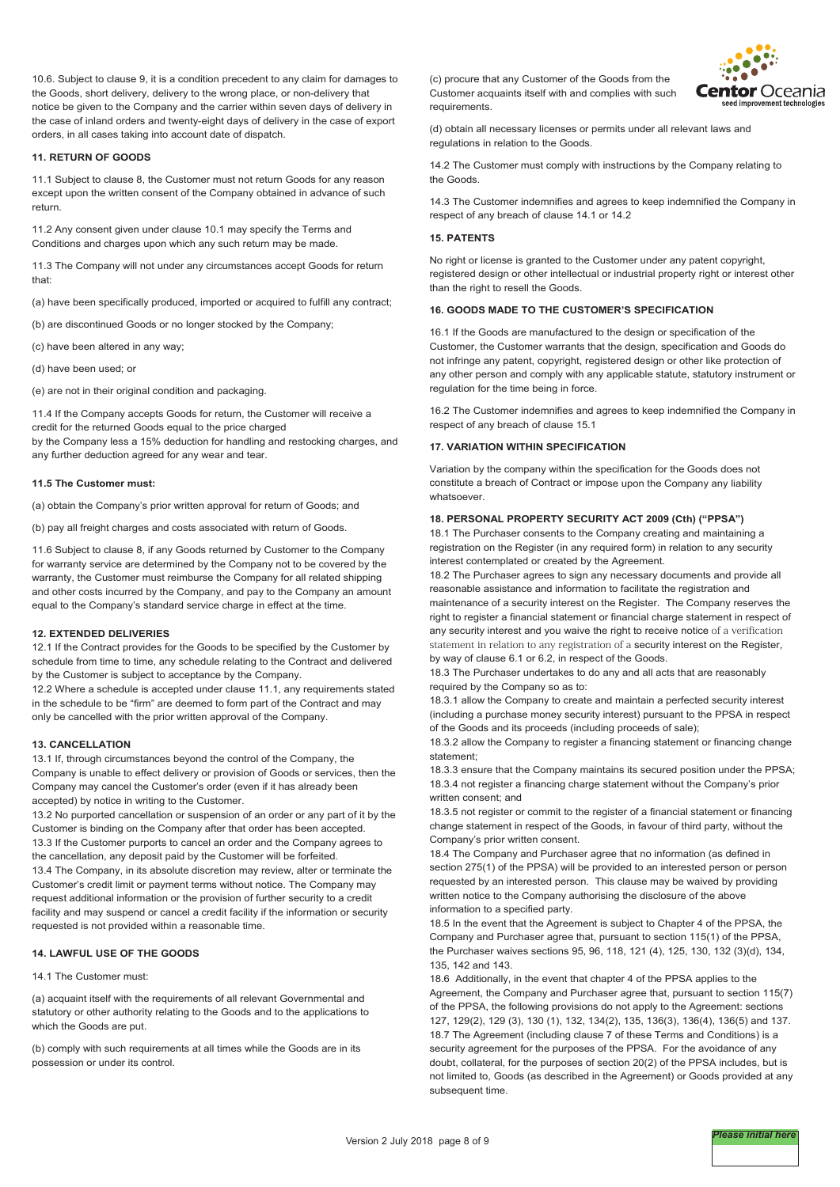10.6. Subject to clause 9, it is a condition precedent to any claim for damages to the Goods, short delivery, delivery to the wrong place, or non-delivery that notice be given to the Company and the carrier within seven days of delivery in the case of inland orders and twenty-eight days of delivery in the case of export orders, in all cases taking into account date of dispatch.

#### **11. RETURN OF GOODS**

11.1 Subject to clause 8, the Customer must not return Goods for any reason except upon the written consent of the Company obtained in advance of such return.

11.2 Any consent given under clause 10.1 may specify the Terms and Conditions and charges upon which any such return may be made.

11.3 The Company will not under any circumstances accept Goods for return that:

(a) have been specifically produced, imported or acquired to fulfill any contract;

(b) are discontinued Goods or no longer stocked by the Company;

(c) have been altered in any way;

(d) have been used; or

(e) are not in their original condition and packaging.

11.4 If the Company accepts Goods for return, the Customer will receive a credit for the returned Goods equal to the price charged by the Company less a 15% deduction for handling and restocking charges, and any further deduction agreed for any wear and tear.

#### **11.5 The Customer must:**

(a) obtain the Company's prior written approval for return of Goods; and

(b) pay all freight charges and costs associated with return of Goods.

11.6 Subject to clause 8, if any Goods returned by Customer to the Company for warranty service are determined by the Company not to be covered by the warranty, the Customer must reimburse the Company for all related shipping and other costs incurred by the Company, and pay to the Company an amount equal to the Company's standard service charge in effect at the time.

#### **12. EXTENDED DELIVERIES**

12.1 If the Contract provides for the Goods to be specified by the Customer by schedule from time to time, any schedule relating to the Contract and delivered by the Customer is subject to acceptance by the Company.

12.2 Where a schedule is accepted under clause 11.1, any requirements stated in the schedule to be "firm" are deemed to form part of the Contract and may only be cancelled with the prior written approval of the Company.

#### **13. CANCELLATION**

13.1 If, through circumstances beyond the control of the Company, the Company is unable to effect delivery or provision of Goods or services, then the Company may cancel the Customer's order (even if it has already been accepted) by notice in writing to the Customer.

13.2 No purported cancellation or suspension of an order or any part of it by the Customer is binding on the Company after that order has been accepted. 13.3 If the Customer purports to cancel an order and the Company agrees to the cancellation, any deposit paid by the Customer will be forfeited. 13.4 The Company, in its absolute discretion may review, alter or terminate the Customer's credit limit or payment terms without notice. The Company may request additional information or the provision of further security to a credit facility and may suspend or cancel a credit facility if the information or security requested is not provided within a reasonable time.

## **14. LAWFUL USE OF THE GOODS**

#### 14.1 The Customer must:

(a) acquaint itself with the requirements of all relevant Governmental and statutory or other authority relating to the Goods and to the applications to which the Goods are put.

(b) comply with such requirements at all times while the Goods are in its possession or under its control.

(c) procure that any Customer of the Goods from the Customer acquaints itself with and complies with such requirements.



(d) obtain all necessary licenses or permits under all relevant laws and regulations in relation to the Goods.

14.2 The Customer must comply with instructions by the Company relating to the Goods.

14.3 The Customer indemnifies and agrees to keep indemnified the Company in respect of any breach of clause 14.1 or 14.2

## **15. PATENTS**

No right or license is granted to the Customer under any patent copyright, registered design or other intellectual or industrial property right or interest other than the right to resell the Goods.

## **16. GOODS MADE TO THE CUSTOMER'S SPECIFICATION**

16.1 If the Goods are manufactured to the design or specification of the Customer, the Customer warrants that the design, specification and Goods do not infringe any patent, copyright, registered design or other like protection of any other person and comply with any applicable statute, statutory instrument or regulation for the time being in force.

16.2 The Customer indemnifies and agrees to keep indemnified the Company in respect of any breach of clause 15.1

#### **17. VARIATION WITHIN SPECIFICATION**

Variation by the company within the specification for the Goods does not constitute a breach of Contract or impose upon the Company any liability whatsoever.

#### **18. PERSONAL PROPERTY SECURITY ACT 2009 (Cth) ("PPSA")**

18.1 The Purchaser consents to the Company creating and maintaining a registration on the Register (in any required form) in relation to any security interest contemplated or created by the Agreement.

18.2 The Purchaser agrees to sign any necessary documents and provide all reasonable assistance and information to facilitate the registration and maintenance of a security interest on the Register. The Company reserves the right to register a financial statement or financial charge statement in respect of any security interest and you waive the right to receive notice of a verification statement in relation to any registration of a security interest on the Register, by way of clause 6.1 or 6.2, in respect of the Goods.

18.3 The Purchaser undertakes to do any and all acts that are reasonably required by the Company so as to:

18.3.1 allow the Company to create and maintain a perfected security interest (including a purchase money security interest) pursuant to the PPSA in respect of the Goods and its proceeds (including proceeds of sale);

18.3.2 allow the Company to register a financing statement or financing change statement;

18.3.3 ensure that the Company maintains its secured position under the PPSA; 18.3.4 not register a financing charge statement without the Company's prior written consent; and

18.3.5 not register or commit to the register of a financial statement or financing change statement in respect of the Goods, in favour of third party, without the Company's prior written consent.

18.4 The Company and Purchaser agree that no information (as defined in section 275(1) of the PPSA) will be provided to an interested person or person requested by an interested person. This clause may be waived by providing written notice to the Company authorising the disclosure of the above information to a specified party.

18.5 In the event that the Agreement is subject to Chapter 4 of the PPSA, the Company and Purchaser agree that, pursuant to section 115(1) of the PPSA, the Purchaser waives sections 95, 96, 118, 121 (4), 125, 130, 132 (3)(d), 134, 135, 142 and 143.

18.6 Additionally, in the event that chapter 4 of the PPSA applies to the Agreement, the Company and Purchaser agree that, pursuant to section 115(7) of the PPSA, the following provisions do not apply to the Agreement: sections 127, 129(2), 129 (3), 130 (1), 132, 134(2), 135, 136(3), 136(4), 136(5) and 137. 18.7 The Agreement (including clause 7 of these Terms and Conditions) is a security agreement for the purposes of the PPSA. For the avoidance of any doubt, collateral, for the purposes of section 20(2) of the PPSA includes, but is not limited to, Goods (as described in the Agreement) or Goods provided at any subsequent time.